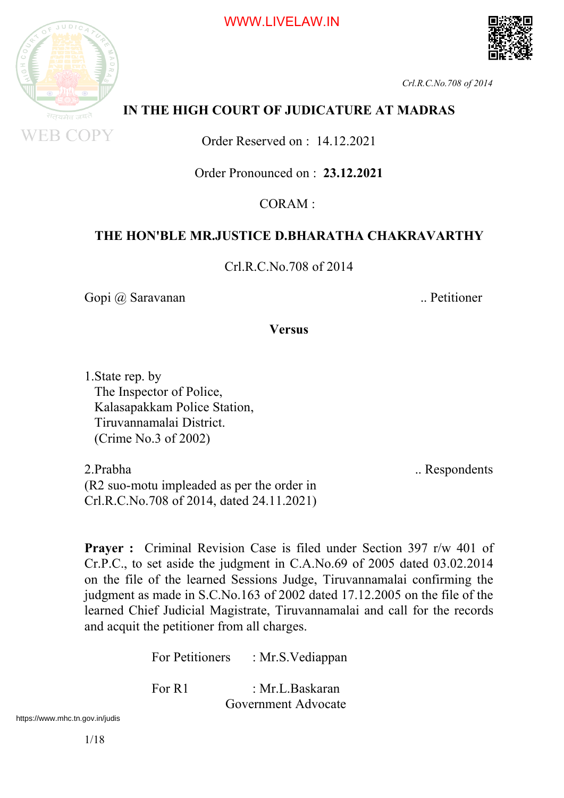





## **IN THE HIGH COURT OF JUDICATURE AT MADRAS**

Order Reserved on : 14.12.2021

Order Pronounced on : **23.12.2021**

 $CORAM$ 

### **THE HON'BLE MR.JUSTICE D.BHARATHA CHAKRAVARTHY**

Crl.R.C.No.708 of 2014

Gopi @ Saravanan ... Petitioner

**Versus**

1.State rep. by The Inspector of Police, Kalasapakkam Police Station, Tiruvannamalai District. (Crime No.3 of 2002)

2. Prabha ... Respondents (R2 suo-motu impleaded as per the order in Crl.R.C.No.708 of 2014, dated 24.11.2021)

**Prayer :** Criminal Revision Case is filed under Section 397 r/w 401 of Cr.P.C., to set aside the judgment in C.A.No.69 of 2005 dated 03.02.2014 on the file of the learned Sessions Judge, Tiruvannamalai confirming the judgment as made in S.C.No.163 of 2002 dated 17.12.2005 on the file of the learned Chief Judicial Magistrate, Tiruvannamalai and call for the records and acquit the petitioner from all charges.

For Petitioners : Mr.S. Vediappan

For R1 : Mr.L.Baskaran Government Advocate

https://www.mhc.tn.gov.in/judis<br>1/18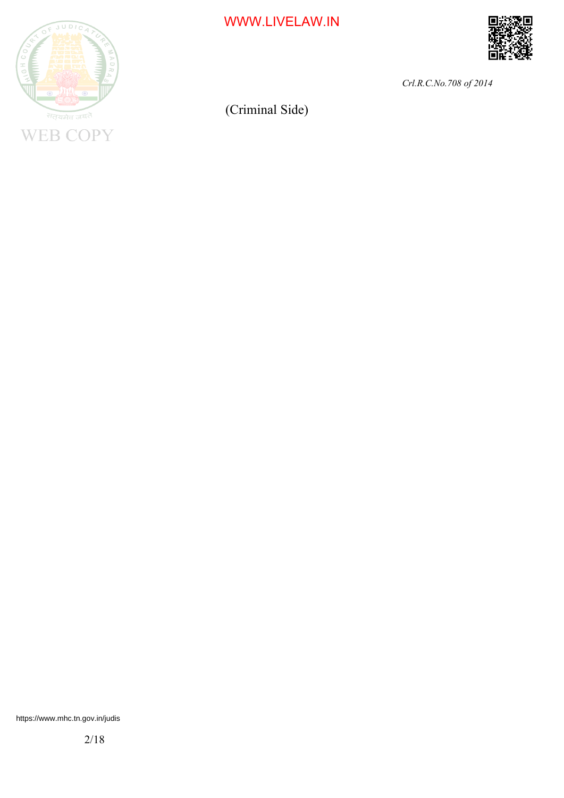

WWW.LIVELAW.IN



*Crl.R.C.No.708 of 2014*

(Criminal Side)

2/18 https://www.mhc.tn.gov.in/judis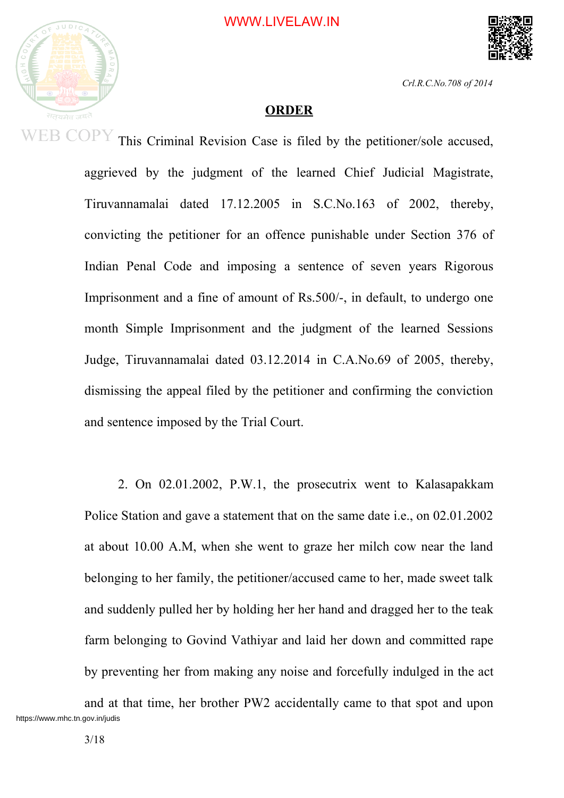



#### **ORDER**

This Criminal Revision Case is filed by the petitioner/sole accused, aggrieved by the judgment of the learned Chief Judicial Magistrate, Tiruvannamalai dated 17.12.2005 in S.C.No.163 of 2002, thereby, convicting the petitioner for an offence punishable under Section 376 of Indian Penal Code and imposing a sentence of seven years Rigorous Imprisonment and a fine of amount of Rs.500/-, in default, to undergo one month Simple Imprisonment and the judgment of the learned Sessions Judge, Tiruvannamalai dated 03.12.2014 in C.A.No.69 of 2005, thereby, dismissing the appeal filed by the petitioner and confirming the conviction and sentence imposed by the Trial Court.

2. On 02.01.2002, P.W.1, the prosecutrix went to Kalasapakkam Police Station and gave a statement that on the same date i.e., on 02.01.2002 at about 10.00 A.M, when she went to graze her milch cow near the land belonging to her family, the petitioner/accused came to her, made sweet talk and suddenly pulled her by holding her her hand and dragged her to the teak farm belonging to Govind Vathiyar and laid her down and committed rape by preventing her from making any noise and forcefully indulged in the act

and at that time, her brother PW2 accidentally came to that spot and upon https://www.mhc.tn.gov.in/judis<br>3/18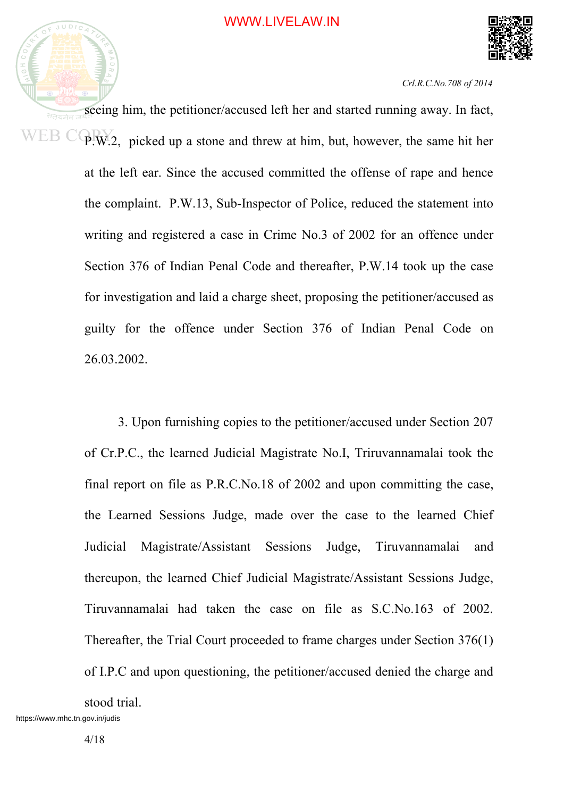



seeing him, the petitioner/accused left her and started running away. In fact, सतयमेव  $WEB$   $CQR$ , picked up a stone and threw at him, but, however, the same hit her at the left ear. Since the accused committed the offense of rape and hence the complaint. P.W.13, Sub-Inspector of Police, reduced the statement into writing and registered a case in Crime No.3 of 2002 for an offence under Section 376 of Indian Penal Code and thereafter, P.W.14 took up the case for investigation and laid a charge sheet, proposing the petitioner/accused as guilty for the offence under Section 376 of Indian Penal Code on 26.03.2002.

> 3. Upon furnishing copies to the petitioner/accused under Section 207 of Cr.P.C., the learned Judicial Magistrate No.I, Triruvannamalai took the final report on file as P.R.C.No.18 of 2002 and upon committing the case, the Learned Sessions Judge, made over the case to the learned Chief Judicial Magistrate/Assistant Sessions Judge, Tiruvannamalai and thereupon, the learned Chief Judicial Magistrate/Assistant Sessions Judge, Tiruvannamalai had taken the case on file as S.C.No.163 of 2002. Thereafter, the Trial Court proceeded to frame charges under Section 376(1) of I.P.C and upon questioning, the petitioner/accused denied the charge and

stood trial.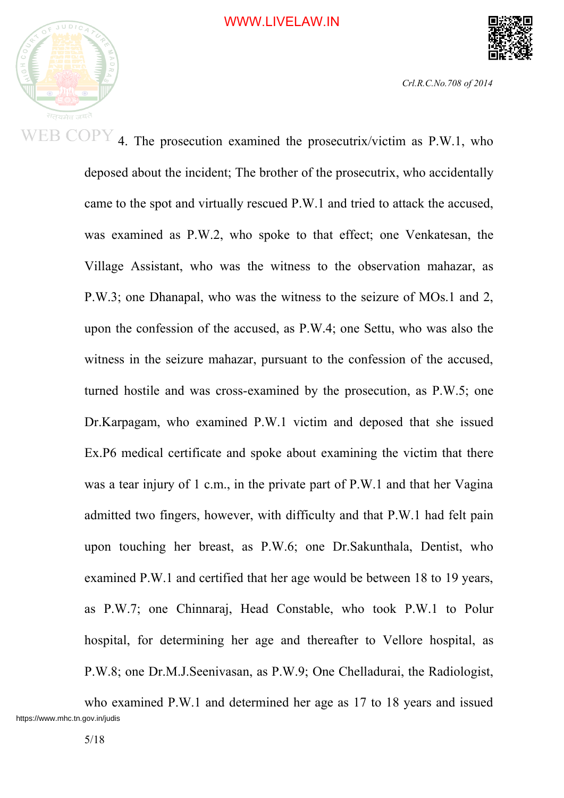

4. The prosecution examined the prosecutrix/victim as P.W.1, who deposed about the incident; The brother of the prosecutrix, who accidentally came to the spot and virtually rescued P.W.1 and tried to attack the accused, was examined as P.W.2, who spoke to that effect; one Venkatesan, the Village Assistant, who was the witness to the observation mahazar, as P.W.3; one Dhanapal, who was the witness to the seizure of MOs.1 and 2, upon the confession of the accused, as P.W.4; one Settu, who was also the witness in the seizure mahazar, pursuant to the confession of the accused, turned hostile and was cross-examined by the prosecution, as P.W.5; one Dr.Karpagam, who examined P.W.1 victim and deposed that she issued Ex.P6 medical certificate and spoke about examining the victim that there was a tear injury of 1 c.m., in the private part of P.W.1 and that her Vagina admitted two fingers, however, with difficulty and that P.W.1 had felt pain upon touching her breast, as P.W.6; one Dr.Sakunthala, Dentist, who examined P.W.1 and certified that her age would be between 18 to 19 years, as P.W.7; one Chinnaraj, Head Constable, who took P.W.1 to Polur hospital, for determining her age and thereafter to Vellore hospital, as P.W.8; one Dr.M.J.Seenivasan, as P.W.9; One Chelladurai, the Radiologist,

who examined P.W.1 and determined her age as 17 to 18 years and issued https://www.mhc.tn.gov.in/judis<br>5/18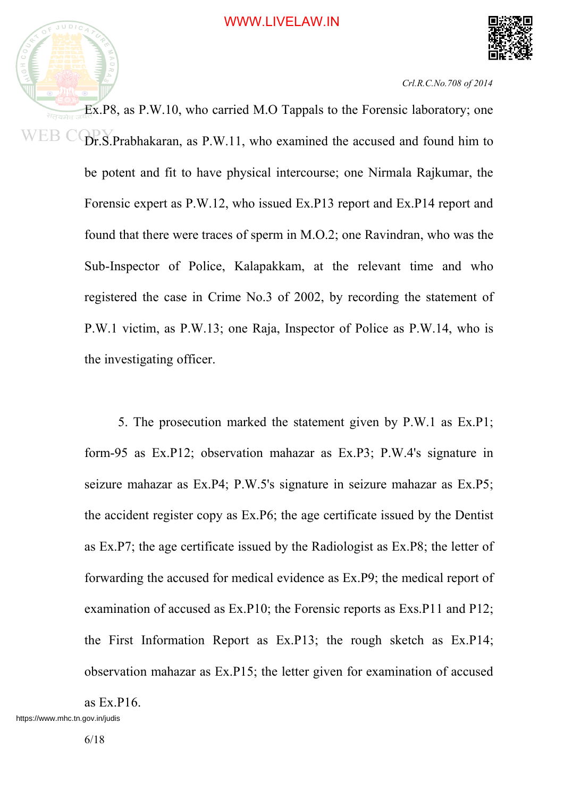



Ex.P8, as P.W.10, who carried M.O Tappals to the Forensic laboratory; one WEB C Dr.S.Prabhakaran, as P.W.11, who examined the accused and found him to be potent and fit to have physical intercourse; one Nirmala Rajkumar, the Forensic expert as P.W.12, who issued Ex.P13 report and Ex.P14 report and found that there were traces of sperm in M.O.2; one Ravindran, who was the Sub-Inspector of Police, Kalapakkam, at the relevant time and who registered the case in Crime No.3 of 2002, by recording the statement of P.W.1 victim, as P.W.13; one Raja, Inspector of Police as P.W.14, who is the investigating officer.

> 5. The prosecution marked the statement given by P.W.1 as Ex.P1; form-95 as Ex.P12; observation mahazar as Ex.P3; P.W.4's signature in seizure mahazar as Ex.P4; P.W.5's signature in seizure mahazar as Ex.P5; the accident register copy as Ex.P6; the age certificate issued by the Dentist as Ex.P7; the age certificate issued by the Radiologist as Ex.P8; the letter of forwarding the accused for medical evidence as Ex.P9; the medical report of examination of accused as Ex.P10; the Forensic reports as Exs.P11 and P12; the First Information Report as Ex.P13; the rough sketch as Ex.P14; observation mahazar as Ex.P15; the letter given for examination of accused

as Ex.P16.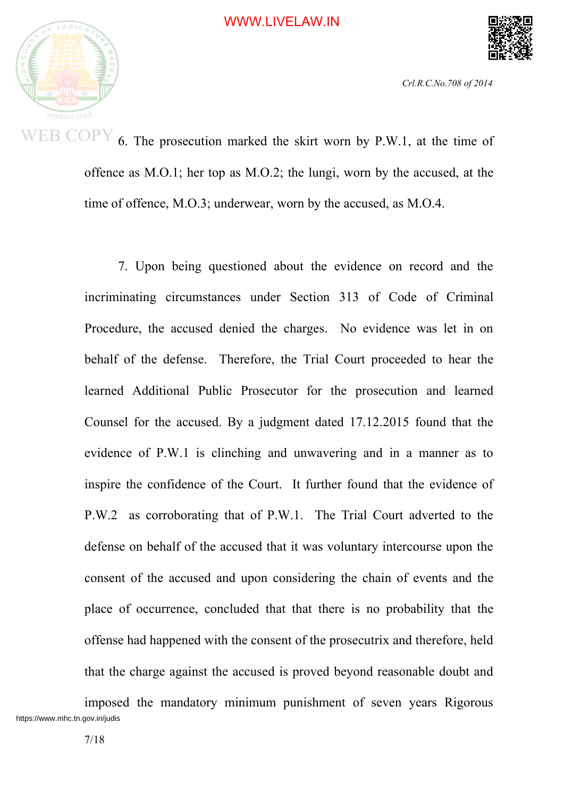

6. The prosecution marked the skirt worn by P.W.1, at the time of offence as M.O.1; her top as M.O.2; the lungi, worn by the accused, at the time of offence, M.O.3; underwear, worn by the accused, as M.O.4.

7. Upon being questioned about the evidence on record and the incriminating circumstances under Section 313 of Code of Criminal Procedure, the accused denied the charges. No evidence was let in on behalf of the defense. Therefore, the Trial Court proceeded to hear the learned Additional Public Prosecutor for the prosecution and learned Counsel for the accused. By a judgment dated 17.12.2015 found that the evidence of P.W.1 is clinching and unwavering and in a manner as to inspire the confidence of the Court. It further found that the evidence of P.W.2 as corroborating that of P.W.1. The Trial Court adverted to the defense on behalf of the accused that it was voluntary intercourse upon the consent of the accused and upon considering the chain of events and the place of occurrence, concluded that that there is no probability that the offense had happened with the consent of the prosecutrix and therefore, held that the charge against the accused is proved beyond reasonable doubt and

imposed the mandatory minimum punishment of seven years Rigorous https://www.mhc.tn.gov.in/judis<br>
7/18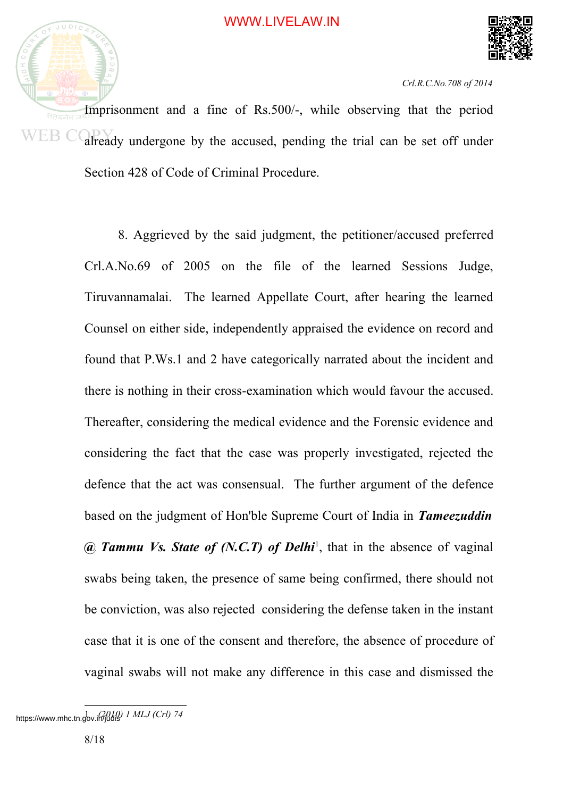



Imprisonment and a fine of Rs.500/-, while observing that the period WEB C already undergone by the accused, pending the trial can be set off under Section 428 of Code of Criminal Procedure.

> 8. Aggrieved by the said judgment, the petitioner/accused preferred Crl.A.No.69 of 2005 on the file of the learned Sessions Judge, Tiruvannamalai. The learned Appellate Court, after hearing the learned Counsel on either side, independently appraised the evidence on record and found that P.Ws.1 and 2 have categorically narrated about the incident and there is nothing in their cross-examination which would favour the accused. Thereafter, considering the medical evidence and the Forensic evidence and considering the fact that the case was properly investigated, rejected the defence that the act was consensual. The further argument of the defence based on the judgment of Hon'ble Supreme Court of India in *Tameezuddin @ Tammu Vs. State of (N.C.T) of Delhi* 1 , that in the absence of vaginal swabs being taken, the presence of same being confirmed, there should not be conviction, was also rejected considering the defense taken in the instant case that it is one of the consent and therefore, the absence of procedure of vaginal swabs will not make any difference in this case and dismissed the

<sup>1</sup> *MLJ (Crl)* 74 https://www.mhc.tn.gov.in/judisity<br>8/18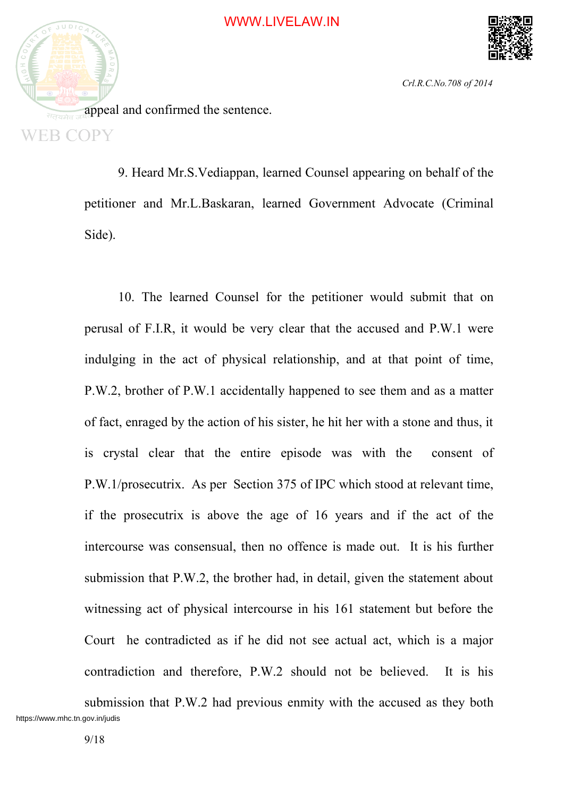

appeal and confirmed the sentence. **WEB COPY** 

> 9. Heard Mr.S.Vediappan, learned Counsel appearing on behalf of the petitioner and Mr.L.Baskaran, learned Government Advocate (Criminal Side).

> 10. The learned Counsel for the petitioner would submit that on perusal of F.I.R, it would be very clear that the accused and P.W.1 were indulging in the act of physical relationship, and at that point of time, P.W.2, brother of P.W.1 accidentally happened to see them and as a matter of fact, enraged by the action of his sister, he hit her with a stone and thus, it is crystal clear that the entire episode was with the consent of P.W.1/prosecutrix. As per Section 375 of IPC which stood at relevant time, if the prosecutrix is above the age of 16 years and if the act of the intercourse was consensual, then no offence is made out. It is his further submission that P.W.2, the brother had, in detail, given the statement about witnessing act of physical intercourse in his 161 statement but before the Court he contradicted as if he did not see actual act, which is a major contradiction and therefore, P.W.2 should not be believed. It is his

submission that P.W.2 had previous enmity with the accused as they both https://www.mhc.tn.gov.in/judis<br>9/18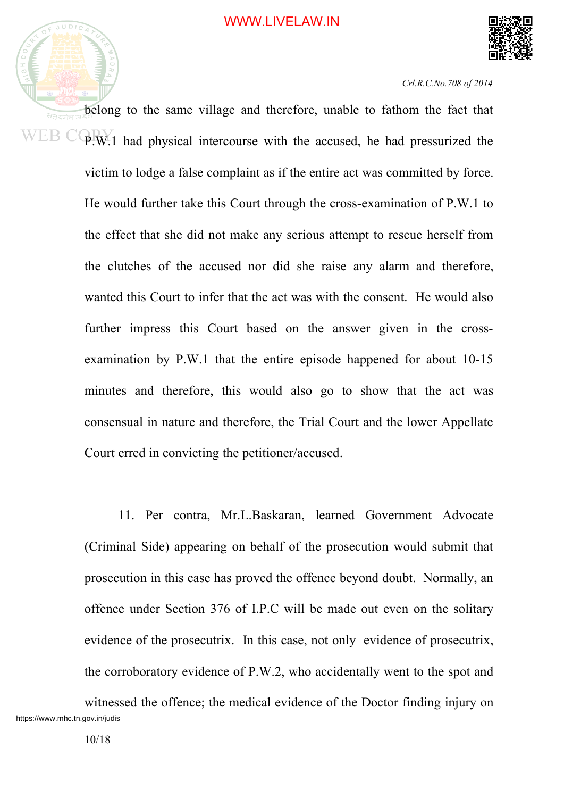



belong to the same village and therefore, unable to fathom the fact that सतयमेव WEB CORY 1 had physical intercourse with the accused, he had pressurized the victim to lodge a false complaint as if the entire act was committed by force. He would further take this Court through the cross-examination of P.W.1 to the effect that she did not make any serious attempt to rescue herself from the clutches of the accused nor did she raise any alarm and therefore, wanted this Court to infer that the act was with the consent. He would also further impress this Court based on the answer given in the crossexamination by P.W.1 that the entire episode happened for about 10-15 minutes and therefore, this would also go to show that the act was consensual in nature and therefore, the Trial Court and the lower Appellate Court erred in convicting the petitioner/accused.

> 11. Per contra, Mr.L.Baskaran, learned Government Advocate (Criminal Side) appearing on behalf of the prosecution would submit that prosecution in this case has proved the offence beyond doubt. Normally, an offence under Section 376 of I.P.C will be made out even on the solitary evidence of the prosecutrix. In this case, not only evidence of prosecutrix, the corroboratory evidence of P.W.2, who accidentally went to the spot and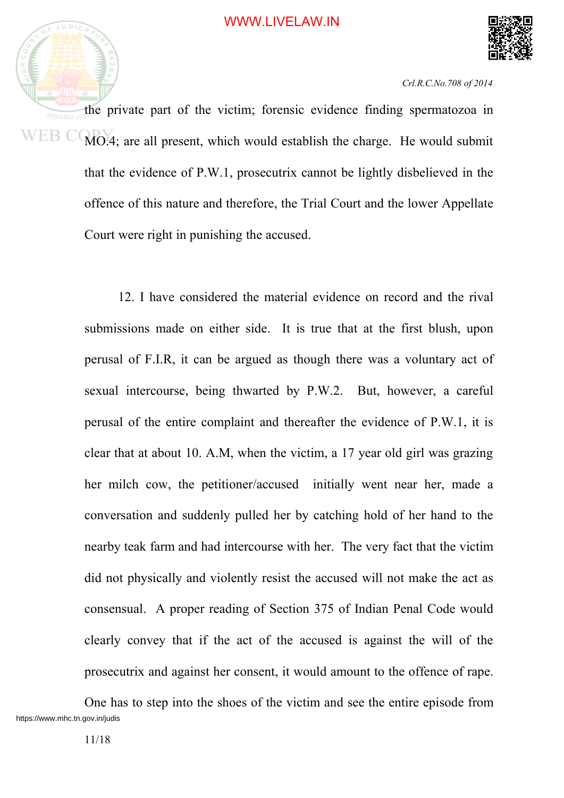



the private part of the victim; forensic evidence finding spermatozoa in WEB CO MO.4; are all present, which would establish the charge. He would submit that the evidence of P.W.1, prosecutrix cannot be lightly disbelieved in the offence of this nature and therefore, the Trial Court and the lower Appellate Court were right in punishing the accused.

> 12. I have considered the material evidence on record and the rival submissions made on either side. It is true that at the first blush, upon perusal of F.I.R, it can be argued as though there was a voluntary act of sexual intercourse, being thwarted by P.W.2. But, however, a careful perusal of the entire complaint and thereafter the evidence of P.W.1, it is clear that at about 10. A.M, when the victim, a 17 year old girl was grazing her milch cow, the petitioner/accused initially went near her, made a conversation and suddenly pulled her by catching hold of her hand to the nearby teak farm and had intercourse with her. The very fact that the victim did not physically and violently resist the accused will not make the act as consensual. A proper reading of Section 375 of Indian Penal Code would clearly convey that if the act of the accused is against the will of the prosecutrix and against her consent, it would amount to the offence of rape.

One has to step into the shoes of the victim and see the entire episode from https://www.mhc.tn.gov.in/judis $11/18$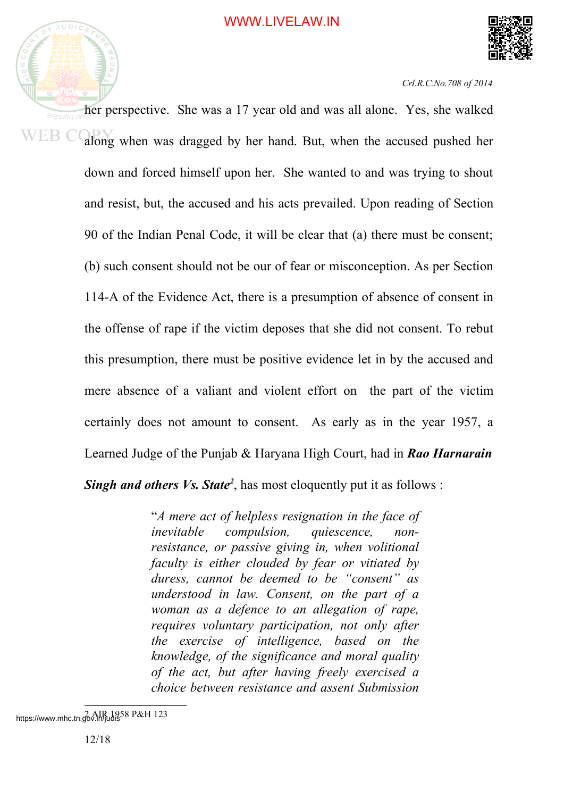



her perspective. She was a 17 year old and was all alone. Yes, she walked WEB C along when was dragged by her hand. But, when the accused pushed her down and forced himself upon her. She wanted to and was trying to shout and resist, but, the accused and his acts prevailed. Upon reading of Section 90 of the Indian Penal Code, it will be clear that (a) there must be consent; (b) such consent should not be our of fear or misconception. As per Section 114-A of the Evidence Act, there is a presumption of absence of consent in the offense of rape if the victim deposes that she did not consent. To rebut this presumption, there must be positive evidence let in by the accused and mere absence of a valiant and violent effort on the part of the victim certainly does not amount to consent. As early as in the year 1957, a Learned Judge of the Punjab & Haryana High Court, had in *Rao Harnarain Singh and others Vs. State 2* , has most eloquently put it as follows :

> "*A mere act of helpless resignation in the face of inevitable compulsion, quiescence, nonresistance, or passive giving in, when volitional faculty is either clouded by fear or vitiated by duress, cannot be deemed to be "consent" as understood in law. Consent, on the part of a woman as a defence to an allegation of rape, requires voluntary participation, not only after the exercise of intelligence, based on the knowledge, of the significance and moral quality of the act, but after having freely exercised a choice between resistance and assent Submission*

https://www.mhc.tn.gov.11/7udi858 P&H 123<br>12/18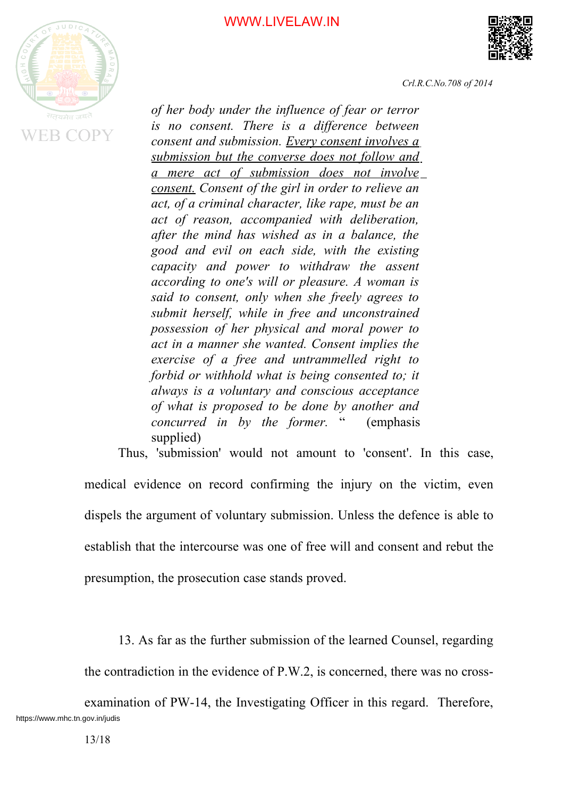#### WWW.LIVELAW.IN





*Crl.R.C.No.708 of 2014*

*of her body under the influence of fear or terror is no consent. There is a difference between consent and submission. Every consent involves a submission but the converse does not follow and a mere act of submission does not involve consent. Consent of the girl in order to relieve an act, of a criminal character, like rape, must be an act of reason, accompanied with deliberation, after the mind has wished as in a balance, the good and evil on each side, with the existing capacity and power to withdraw the assent according to one's will or pleasure. A woman is said to consent, only when she freely agrees to submit herself, while in free and unconstrained possession of her physical and moral power to act in a manner she wanted. Consent implies the exercise of a free and untrammelled right to forbid or withhold what is being consented to; it always is a voluntary and conscious acceptance of what is proposed to be done by another and concurred in by the former.* " (emphasis supplied)

Thus, 'submission' would not amount to 'consent'. In this case, medical evidence on record confirming the injury on the victim, even dispels the argument of voluntary submission. Unless the defence is able to establish that the intercourse was one of free will and consent and rebut the

presumption, the prosecution case stands proved.

13. As far as the further submission of the learned Counsel, regarding

the contradiction in the evidence of P.W.2, is concerned, there was no cross-

examination of PW-14, the Investigating Officer in this regard. Therefore, https://www.mhc.tn.gov.in/judis<br>13/18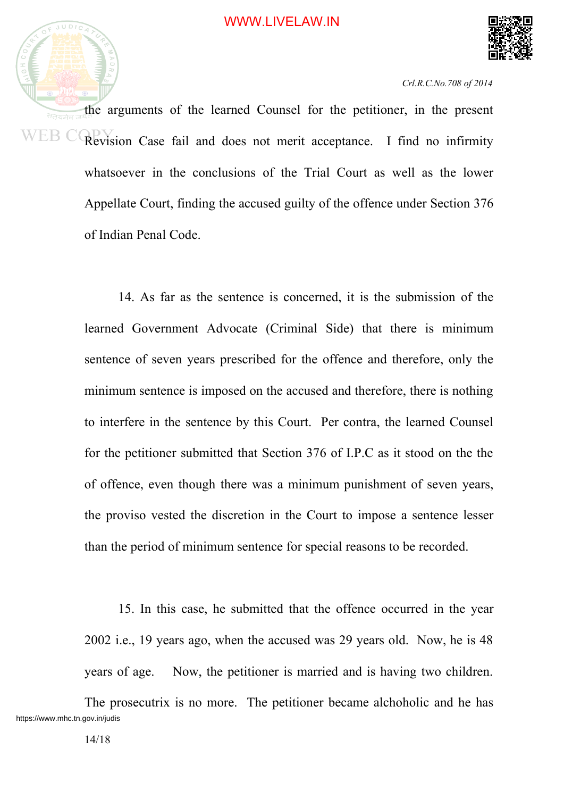



the arguments of the learned Counsel for the petitioner, in the present सतयमेव WEB C Revision Case fail and does not merit acceptance. I find no infirmity whatsoever in the conclusions of the Trial Court as well as the lower Appellate Court, finding the accused guilty of the offence under Section 376 of Indian Penal Code.

> 14. As far as the sentence is concerned, it is the submission of the learned Government Advocate (Criminal Side) that there is minimum sentence of seven years prescribed for the offence and therefore, only the minimum sentence is imposed on the accused and therefore, there is nothing to interfere in the sentence by this Court. Per contra, the learned Counsel for the petitioner submitted that Section 376 of I.P.C as it stood on the the of offence, even though there was a minimum punishment of seven years, the proviso vested the discretion in the Court to impose a sentence lesser than the period of minimum sentence for special reasons to be recorded.

> 15. In this case, he submitted that the offence occurred in the year 2002 i.e., 19 years ago, when the accused was 29 years old. Now, he is 48 years of age. Now, the petitioner is married and is having two children.

The prosecutrix is no more. The petitioner became alchoholic and he has https://www.mhc.tn.gov.in/judis<br>14/18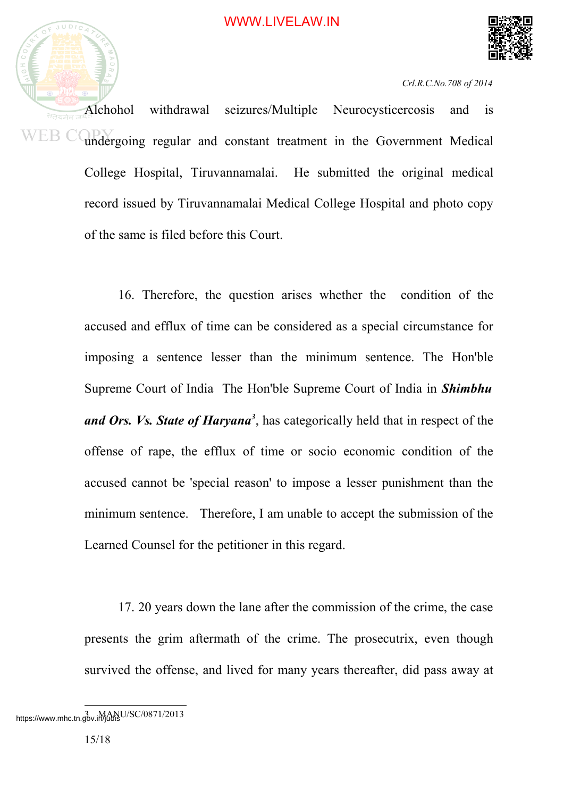



Alchohol withdrawal seizures/Multiple Neurocysticercosis and is WEB COPY undergoing regular and constant treatment in the Government Medical College Hospital, Tiruvannamalai. He submitted the original medical record issued by Tiruvannamalai Medical College Hospital and photo copy of the same is filed before this Court.

> 16. Therefore, the question arises whether the condition of the accused and efflux of time can be considered as a special circumstance for imposing a sentence lesser than the minimum sentence. The Hon'ble Supreme Court of India The Hon'ble Supreme Court of India in *Shimbhu* and Ors. Vs. State of Haryana<sup>3</sup>, has categorically held that in respect of the offense of rape, the efflux of time or socio economic condition of the accused cannot be 'special reason' to impose a lesser punishment than the minimum sentence. Therefore, I am unable to accept the submission of the Learned Counsel for the petitioner in this regard.

> 17. 20 years down the lane after the commission of the crime, the case presents the grim aftermath of the crime. The prosecutrix, even though survived the offense, and lived for many years thereafter, did pass away at

https://www.mhc.tn.gov.iMgansU/SC/0871/2013<br>15/18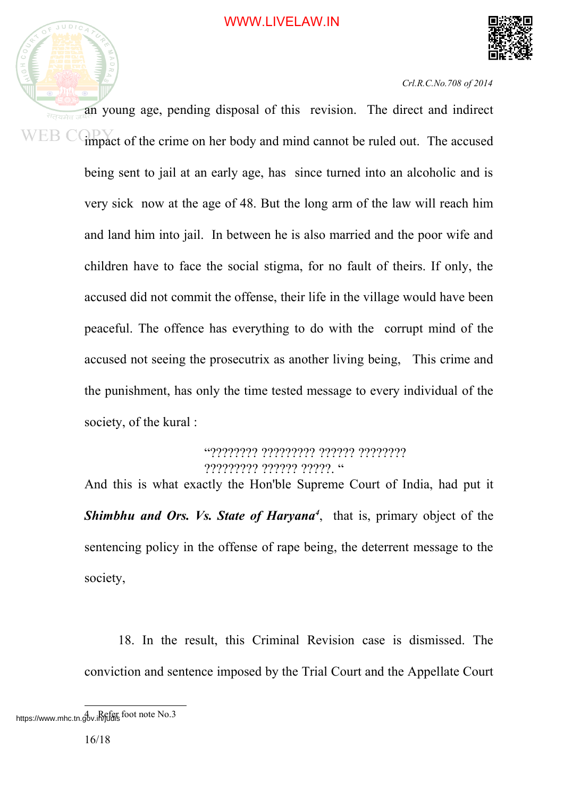



an young age, pending disposal of this revision. The direct and indirect WEB C impact of the crime on her body and mind cannot be ruled out. The accused being sent to jail at an early age, has since turned into an alcoholic and is very sick now at the age of 48. But the long arm of the law will reach him and land him into jail. In between he is also married and the poor wife and children have to face the social stigma, for no fault of theirs. If only, the accused did not commit the offense, their life in the village would have been peaceful. The offence has everything to do with the corrupt mind of the accused not seeing the prosecutrix as another living being, This crime and the punishment, has only the time tested message to every individual of the society, of the kural :

> "???????? ????????? ?????? ???????? ????????? ?????? ?????. "

And this is what exactly the Hon'ble Supreme Court of India, had put it *Shimbhu and Ors. Vs. State of Haryana 4* , that is, primary object of the sentencing policy in the offense of rape being, the deterrent message to the society,

18. In the result, this Criminal Revision case is dismissed. The conviction and sentence imposed by the Trial Court and the Appellate Court

https://www.mhc.tn.gov.iRefer foot note No.3<br>16/18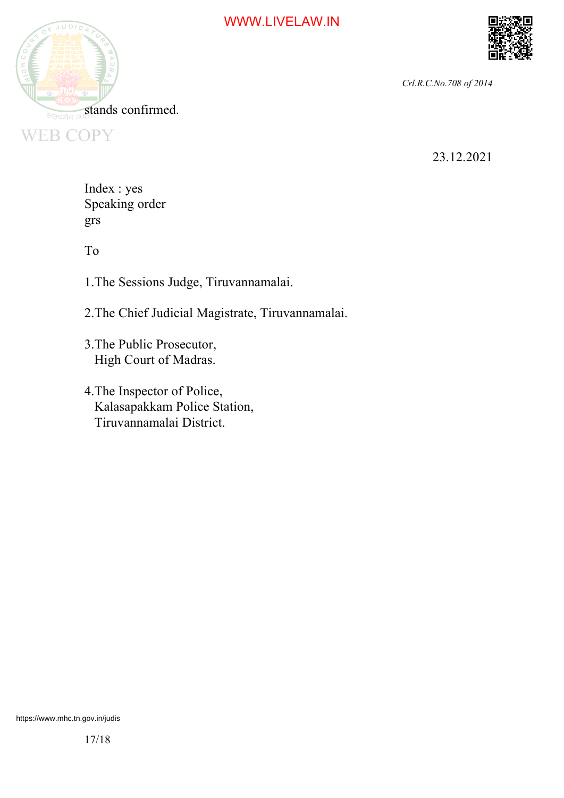



23.12.2021

Index : yes Speaking order grs

To

1.The Sessions Judge, Tiruvannamalai.

2.The Chief Judicial Magistrate, Tiruvannamalai.

- 3.The Public Prosecutor, High Court of Madras.
- 4.The Inspector of Police, Kalasapakkam Police Station, Tiruvannamalai District.

https://www.mhc.tn.gov.in/judis $17/18$